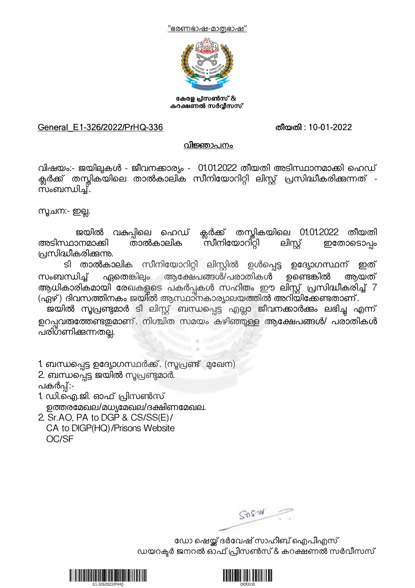"ഭരണഭാഷ-മാതഭാഷ"



കേരള പ്രിസൺസ് & കറക്ഷണൽ സർവ്വീസസ്

## General\_E1-326/2022/PrHQ-336 തീയതി : 10-01-2022

## വിജ്ഞാപനം

വിഷയം:- ജയിലുകൾ - ജീവനക്കാര്യം -  $\,$  01.01.2022 തീയതി അടിസ്ഥാനമാക്കി ഹെഡ് ക്ലർക്ക് തസ്തികയിലെ താൽകാലിക സീനിയോറിറ്റി ലിസ്റ്റ് പ്രസിദ്ധീകരിക്കുന്നത് -<br>സംബന്ധിച്.

നുചന:- ഇല്ല.

ജയിൽ വകപ്പിലെ ഹെഡ് ക്ലർക്ക് തസ്തികയിലെ 01.01.2022 തീയതി<br>അടിസ്ഥാനമാക്കി താൽകാലിക സീനിയോറിറ്റി ലിസ്റ്റ് ഇതോടൊപ്പം താൽകാലിക സീനിയോറി്റ്റി .പ്രസിദ്ധീകരിക്കുന്നു<br>Sl താൽകാ

്താൽകാലിക സീനിയോറിറ്റി ലിസ്റ്റിൽ ഉൾപ്പെട്ട ഉദ്യോഗസ്ഥന് ഇത<mark>്</mark><br>ഠിച്ച് ഏതെങ്കിലും ആക്ഷേപങ്ങൾ/പരാതികൾ ഉണ്ടെങ്കിൽ ആയത് സംബന്ധിച്ച് സംബന്ധിച്ച് ഏതെങ്കിലും ആക്ഷേപങ്ങൾ/പരാതികൾ ഉണ്ടെങ്കിൽ ആയത്<br>ആധികാരികമായി രേഖകളടെ പകർപ്പകൾ സഹിതം ഈ ലിസ്റ്റ് പ്രസിദ്ധീകരിച്ച് 7 (ഏഴ്) ദിവസത്തിനകം ജയിൽ ആസ്ഥാനകാര്യാലയത്തിൽ അറിയിക്കേണ്ടതാണ്.

ജയിൽ സൂപ്രണ്ടുമാർ ടി ലിസ്റ്റ് ബന്ധപ്പെട്ട എല്ലാ ജീവനക്കാർക്കം ലഭിച്ച എന്ന് ഉറപ്പവരുത്തേണ്ടതുമാണ്. നിശ്ചിത സമയം കഴിഞ്ഞുള്ള ആക്ഷേപങ്ങൾ/ പരാതികൾ പരിഗണിക്കന്നതല്ല.

1. ബന്ധപ്പെട്ട ഉദ്യോഗസ്ഥർക്ക്. (സൂപ്രണ്ട് മുഖേന) 2. ബന്ധപ്പെട്ട ജയിൽ സൂപ്രണ്ടുമാർ. പകർപ്:-

- 1. ഡി.ഐ.ജി. ഓഫ് \*ിസൺസ് ഉത്തരമേഖല/മധ്യമേഖല/ദക്ഷിണമേഖല.
- 2. Sr.AO, PA to DGP & CS/SS(E)/ CA to DIGP(HQ)/Prisons Website OC/SF

GOSW

ഡോ ഷെയ്ക് ദർവേഷ് സാഹിബ് ഐപിഎസ് ഡയറക്ടർ ജനറൽ ഓഫ് പ്രിസൺസ് & കറക്ഷണൽ സർവീസസ്



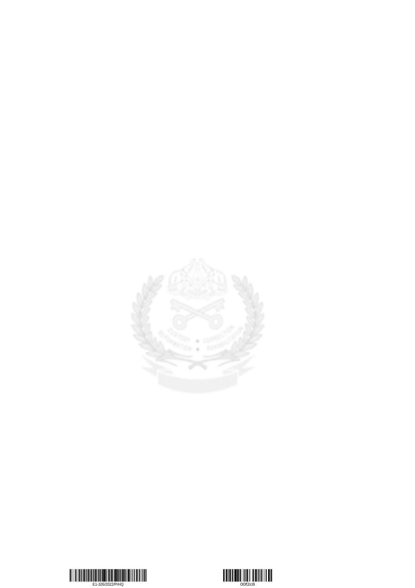